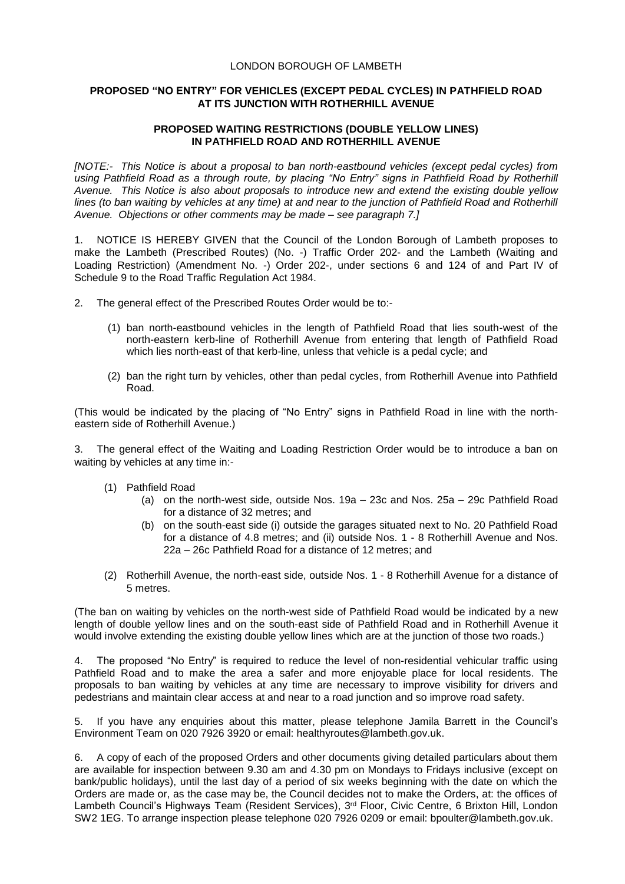## LONDON BOROUGH OF LAMBETH

## **PROPOSED "NO ENTRY" FOR VEHICLES (EXCEPT PEDAL CYCLES) IN PATHFIELD ROAD AT ITS JUNCTION WITH ROTHERHILL AVENUE**

## **PROPOSED WAITING RESTRICTIONS (DOUBLE YELLOW LINES) IN PATHFIELD ROAD AND ROTHERHILL AVENUE**

*[NOTE:- This Notice is about a proposal to ban north-eastbound vehicles (except pedal cycles) from*  using Pathfield Road as a through route, by placing "No Entry" signs in Pathfield Road by Rotherhill *Avenue. This Notice is also about proposals to introduce new and extend the existing double yellow lines (to ban waiting by vehicles at any time) at and near to the junction of Pathfield Road and Rotherhill Avenue. Objections or other comments may be made – see paragraph 7.]*

1. NOTICE IS HEREBY GIVEN that the Council of the London Borough of Lambeth proposes to make the Lambeth (Prescribed Routes) (No. -) Traffic Order 202- and the Lambeth (Waiting and Loading Restriction) (Amendment No. -) Order 202-, under sections 6 and 124 of and Part IV of Schedule 9 to the Road Traffic Regulation Act 1984.

- 2. The general effect of the Prescribed Routes Order would be to:-
	- (1) ban north-eastbound vehicles in the length of Pathfield Road that lies south-west of the north-eastern kerb-line of Rotherhill Avenue from entering that length of Pathfield Road which lies north-east of that kerb-line, unless that vehicle is a pedal cycle; and
	- (2) ban the right turn by vehicles, other than pedal cycles, from Rotherhill Avenue into Pathfield Road.

(This would be indicated by the placing of "No Entry" signs in Pathfield Road in line with the northeastern side of Rotherhill Avenue.)

3. The general effect of the Waiting and Loading Restriction Order would be to introduce a ban on waiting by vehicles at any time in:-

- (1) Pathfield Road
	- (a) on the north-west side, outside Nos. 19a 23c and Nos. 25a 29c Pathfield Road for a distance of 32 metres; and
	- (b) on the south-east side (i) outside the garages situated next to No. 20 Pathfield Road for a distance of 4.8 metres; and (ii) outside Nos. 1 - 8 Rotherhill Avenue and Nos. 22a – 26c Pathfield Road for a distance of 12 metres; and
- (2) Rotherhill Avenue, the north-east side, outside Nos. 1 8 Rotherhill Avenue for a distance of 5 metres.

(The ban on waiting by vehicles on the north-west side of Pathfield Road would be indicated by a new length of double yellow lines and on the south-east side of Pathfield Road and in Rotherhill Avenue it would involve extending the existing double yellow lines which are at the junction of those two roads.)

4. The proposed "No Entry" is required to reduce the level of non-residential vehicular traffic using Pathfield Road and to make the area a safer and more enjoyable place for local residents. The proposals to ban waiting by vehicles at any time are necessary to improve visibility for drivers and pedestrians and maintain clear access at and near to a road junction and so improve road safety.

If you have any enquiries about this matter, please telephone Jamila Barrett in the Council's Environment Team on 020 7926 3920 or email: [healthyroutes@lambeth.gov.uk.](mailto:healthyroutes@lambeth.gov.uk)

6. A copy of each of the proposed Orders and other documents giving detailed particulars about them are available for inspection between 9.30 am and 4.30 pm on Mondays to Fridays inclusive (except on bank/public holidays), until the last day of a period of six weeks beginning with the date on which the Orders are made or, as the case may be, the Council decides not to make the Orders, at: the offices of Lambeth Council's Highways Team (Resident Services), 3<sup>rd</sup> Floor, Civic Centre, 6 Brixton Hill, London SW2 1EG. To arrange inspection please telephone 020 7926 0209 or email: [bpoulter@lambeth.gov.uk.](mailto:bpoulter@lambeth.gov.uk)